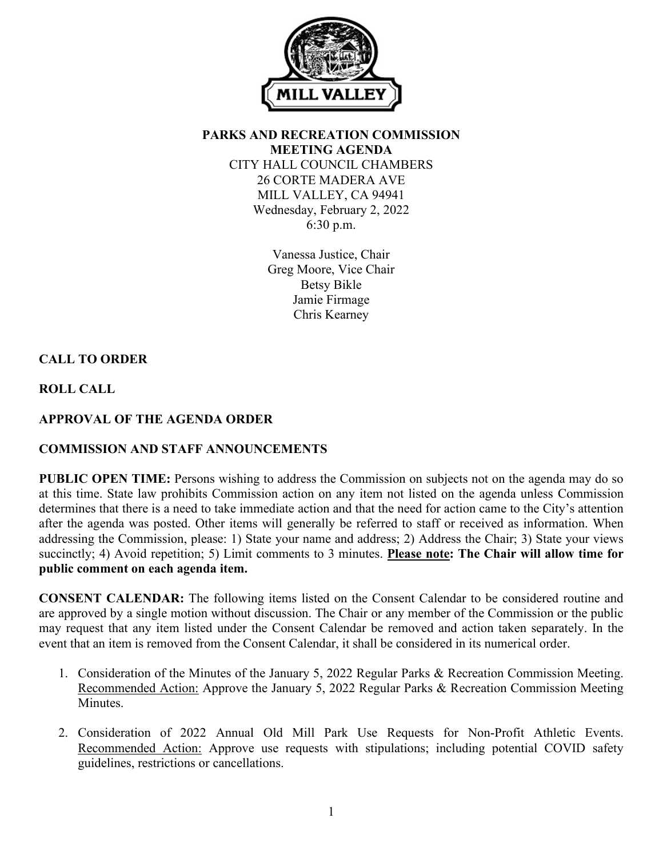

**PARKS AND RECREATION COMMISSION MEETING AGENDA** CITY HALL COUNCIL CHAMBERS 26 CORTE MADERA AVE MILL VALLEY, CA 94941 Wednesday, February 2, 2022 6:30 p.m.

> Vanessa Justice, Chair Greg Moore, Vice Chair Betsy Bikle Jamie Firmage Chris Kearney

# **CALL TO ORDER**

**ROLL CALL**

## **APPROVAL OF THE AGENDA ORDER**

### **COMMISSION AND STAFF ANNOUNCEMENTS**

**PUBLIC OPEN TIME:** Persons wishing to address the Commission on subjects not on the agenda may do so at this time. State law prohibits Commission action on any item not listed on the agenda unless Commission determines that there is a need to take immediate action and that the need for action came to the City's attention after the agenda was posted. Other items will generally be referred to staff or received as information. When addressing the Commission, please: 1) State your name and address; 2) Address the Chair; 3) State your views succinctly; 4) Avoid repetition; 5) Limit comments to 3 minutes. **Please note: The Chair will allow time for public comment on each agenda item.**

**CONSENT CALENDAR:** The following items listed on the Consent Calendar to be considered routine and are approved by a single motion without discussion. The Chair or any member of the Commission or the public may request that any item listed under the Consent Calendar be removed and action taken separately. In the event that an item is removed from the Consent Calendar, it shall be considered in its numerical order.

- 1. Consideration of the Minutes of the January 5, 2022 Regular Parks & Recreation Commission Meeting. Recommended Action: Approve the January 5, 2022 Regular Parks & Recreation Commission Meeting Minutes.
- 2. Consideration of 2022 Annual Old Mill Park Use Requests for Non-Profit Athletic Events. Recommended Action: Approve use requests with stipulations; including potential COVID safety guidelines, restrictions or cancellations.